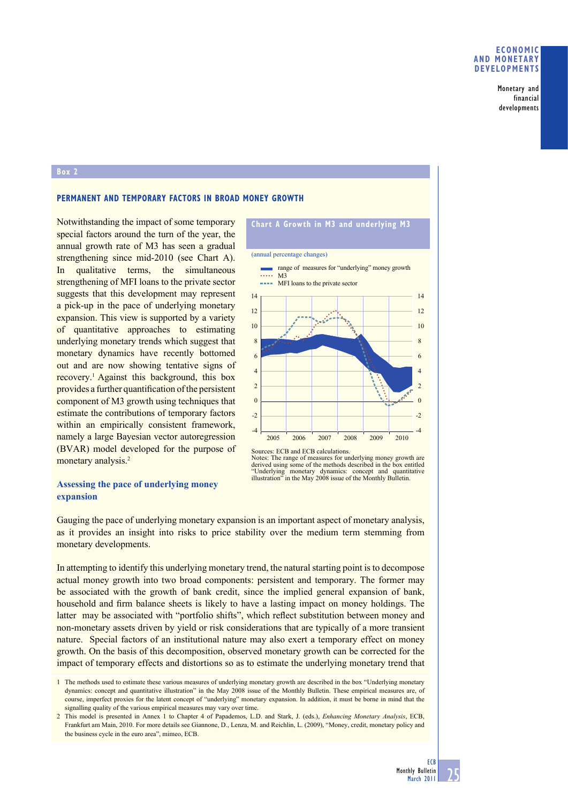#### **ECONOMIC AND MONETARY DEVELOPMENTS**

Monetary and financial developments

#### **Box 2**

# **PERMANENT AND TEMPORARY FACTORS IN BROAD MONEY GROWTH**

Notwithstanding the impact of some temporary special factors around the turn of the year, the annual growth rate of M3 has seen a gradual strengthening since mid-2010 (see Chart A). In qualitative terms, the simultaneous strengthening of MFI loans to the private sector suggests that this development may represent a pick-up in the pace of underlying monetary expansion. This view is supported by a variety of quantitative approaches to estimating underlying monetary trends which suggest that monetary dynamics have recently bottomed out and are now showing tentative signs of recovery.1 Against this background, this box provides a further quantification of the persistent component of M3 growth using techniques that estimate the contributions of temporary factors within an empirically consistent framework, namely a large Bayesian vector autoregression (BVAR) model developed for the purpose of monetary analysis.<sup>2</sup>

# **Assessing the pace of underlying money expansion**

# **Chart A Growth in M3 and underlying M3**



Notes: The range of measures for underlying money growth are<br>derived using some of the methods described in the box entitled<br>"Underlying monetary dynamics: concept and quantitative<br>illustration" in the May 2008 issue of th

Gauging the pace of underlying monetary expansion is an important aspect of monetary analysis, as it provides an insight into risks to price stability over the medium term stemming from monetary developments.

In attempting to identify this underlying monetary trend, the natural starting point is to decompose actual money growth into two broad components: persistent and temporary. The former may be associated with the growth of bank credit, since the implied general expansion of bank, household and firm balance sheets is likely to have a lasting impact on money holdings. The latter may be associated with "portfolio shifts", which reflect substitution between money and non-monetary assets driven by yield or risk considerations that are typically of a more transient nature. Special factors of an institutional nature may also exert a temporary effect on money growth. On the basis of this decomposition, observed monetary growth can be corrected for the impact of temporary effects and distortions so as to estimate the underlying monetary trend that

<sup>1</sup> The methods used to estimate these various measures of underlying monetary growth are described in the box "Underlying monetary dynamics: concept and quantitative illustration" in the May 2008 issue of the Monthly Bulletin. These empirical measures are, of course, imperfect proxies for the latent concept of "underlying" monetary expansion. In addition, it must be borne in mind that the signalling quality of the various empirical measures may vary over time.

<sup>2</sup> This model is presented in Annex 1 to Chapter 4 of Papademos, L.D. and Stark, J. (eds.), *Enhancing Monetary Analysis*, ECB, Frankfurt am Main, 2010. For more details see Giannone, D., Lenza, M. and Reichlin, L. (2009), "Money, credit, monetary policy and the business cycle in the euro area", mimeo, ECB.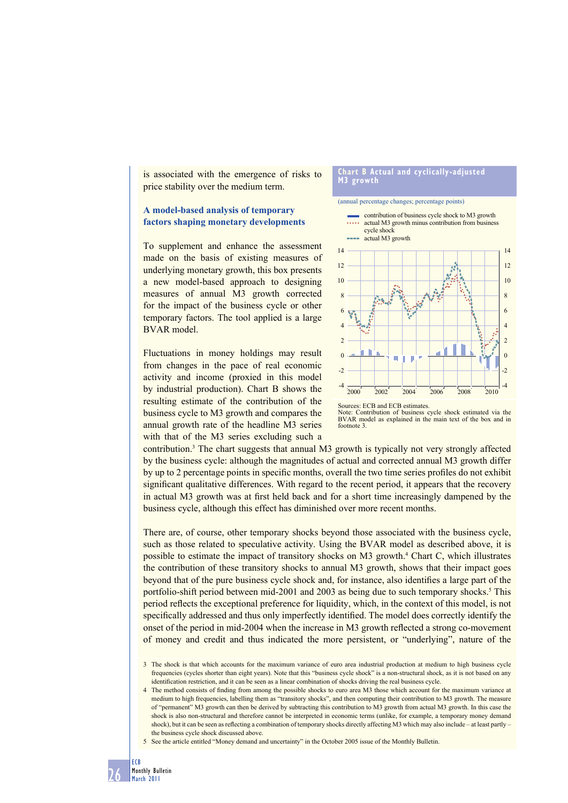is associated with the emergence of risks to price stability over the medium term.

## **A model-based analysis of temporary factors shaping monetary developments**

To supplement and enhance the assessment made on the basis of existing measures of underlying monetary growth, this box presents a new model-based approach to designing measures of annual M3 growth corrected for the impact of the business cycle or other temporary factors. The tool applied is a large BVAR model.

Fluctuations in money holdings may result from changes in the pace of real economic activity and income (proxied in this model by industrial production). Chart B shows the resulting estimate of the contribution of the business cycle to M3 growth and compares the annual growth rate of the headline M3 series with that of the M3 series excluding such a

#### **Chart B Actual and cyclically-adjusted**  growth

#### (annual percentage changes; percentage points)







contribution.<sup>3</sup> The chart suggests that annual M3 growth is typically not very strongly affected by the business cycle: although the magnitudes of actual and corrected annual M3 growth differ by up to 2 percentage points in specific months, overall the two time series profiles do not exhibit significant qualitative differences. With regard to the recent period, it appears that the recovery in actual M3 growth was at first held back and for a short time increasingly dampened by the business cycle, although this effect has diminished over more recent months.

There are, of course, other temporary shocks beyond those associated with the business cycle, such as those related to speculative activity. Using the BVAR model as described above, it is possible to estimate the impact of transitory shocks on M3 growth.<sup>4</sup> Chart C, which illustrates the contribution of these transitory shocks to annual M3 growth, shows that their impact goes beyond that of the pure business cycle shock and, for instance, also identifies a large part of the portfolio-shift period between mid-2001 and 2003 as being due to such temporary shocks.<sup>5</sup> This period reflects the exceptional preference for liquidity, which, in the context of this model, is not specifically addressed and thus only imperfectly identified. The model does correctly identify the onset of the period in mid-2004 when the increase in M3 growth reflected a strong co-movement of money and credit and thus indicated the more persistent, or "underlying", nature of the

<sup>3</sup> The shock is that which accounts for the maximum variance of euro area industrial production at medium to high business cycle frequencies (cycles shorter than eight years). Note that this "business cycle shock" is a non-structural shock, as it is not based on any identification restriction, and it can be seen as a linear combination of shocks driving the real business cycle.

<sup>4</sup> The method consists of finding from among the possible shocks to euro area M3 those which account for the maximum variance at medium to high frequencies, labelling them as "transitory shocks", and then computing their contribution to M3 growth. The measure of "permanent" M3 growth can then be derived by subtracting this contribution to M3 growth from actual M3 growth. In this case the shock is also non-structural and therefore cannot be interpreted in economic terms (unlike, for example, a temporary money demand shock), but it can be seen as reflecting a combination of temporary shocks directly affecting M3 which may also include – at least partly – the business cycle shock discussed above.

<sup>5</sup> See the article entitled "Money demand and uncertainty" in the October 2005 issue of the Monthly Bulletin.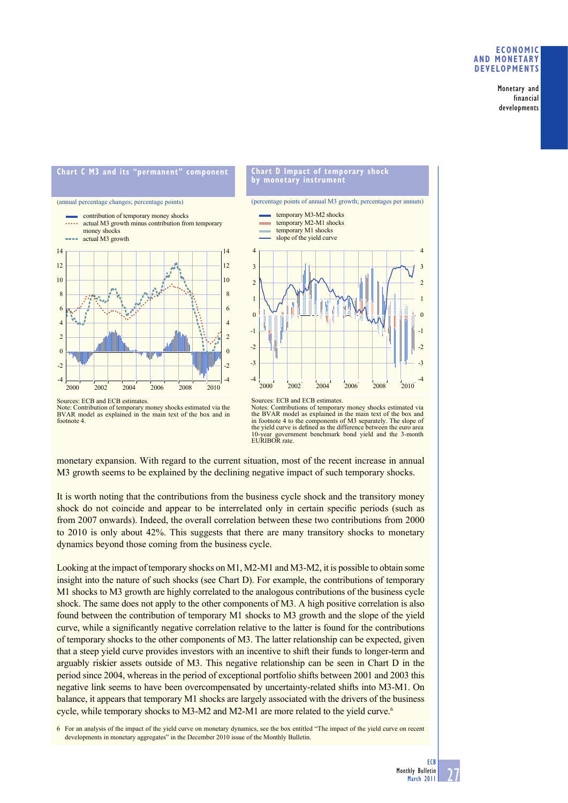#### **ECONOMIC AND MONETARY DEVELOPMENTS**

Monetary and financial developments



Sources: ECB and ECB estimates. Note: Contribution of temporary money shocks estimated via the BVAR model as explained in the main text of the box and in footnote 4.



monetary expansion. With regard to the current situation, most of the recent increase in annual M3 growth seems to be explained by the declining negative impact of such temporary shocks.

It is worth noting that the contributions from the business cycle shock and the transitory money shock do not coincide and appear to be interrelated only in certain specific periods (such as from 2007 onwards). Indeed, the overall correlation between these two contributions from 2000 to 2010 is only about 42%. This suggests that there are many transitory shocks to monetary dynamics beyond those coming from the business cycle.

Looking at the impact of temporary shocks on M1, M2-M1 and M3-M2, it is possible to obtain some insight into the nature of such shocks (see Chart D). For example, the contributions of temporary M1 shocks to M3 growth are highly correlated to the analogous contributions of the business cycle shock. The same does not apply to the other components of M3. A high positive correlation is also found between the contribution of temporary M1 shocks to M3 growth and the slope of the yield curve, while a significantly negative correlation relative to the latter is found for the contributions of temporary shocks to the other components of M3. The latter relationship can be expected, given that a steep yield curve provides investors with an incentive to shift their funds to longer-term and arguably riskier assets outside of M3. This negative relationship can be seen in Chart D in the period since 2004, whereas in the period of exceptional portfolio shifts between 2001 and 2003 this negative link seems to have been overcompensated by uncertainty-related shifts into M3-M1. On balance, it appears that temporary M1 shocks are largely associated with the drivers of the business cycle, while temporary shocks to M3-M2 and M2-M1 are more related to the yield curve.<sup>6</sup>

6 For an analysis of the impact of the yield curve on monetary dynamics, see the box entitled "The impact of the yield curve on recent developments in monetary aggregates" in the December 2010 issue of the Monthly Bulletin.

-4 -3  $\overline{c}$ -1  $\theta$ 1  $\overline{2}$ 3 4